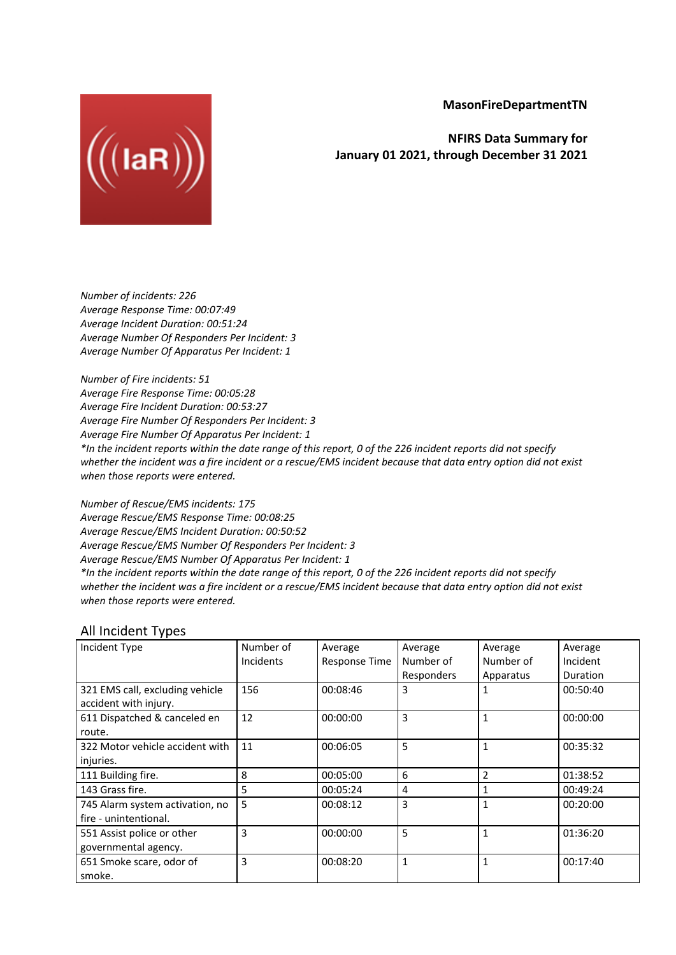**MasonFireDepartmentTN**



**NFIRS Data Summary for January 01 2021, through December 31 2021**

*Number of incidents: 226 Average Response Time: 00:07:49 Average Incident Duration: 00:51:24 Average Number Of Responders Per Incident: 3 Average Number Of Apparatus Per Incident: 1*

*Number of Fire incidents: 51 Average Fire Response Time: 00:05:28 Average Fire Incident Duration: 00:53:27 Average Fire Number Of Responders Per Incident: 3 Average Fire Number Of Apparatus Per Incident: 1* \*In the incident reports within the date range of this report, 0 of the 226 incident reports did not specify whether the incident was a fire incident or a rescue/EMS incident because that data entry option did not exist *when those reports were entered.*

*Number of Rescue/EMS incidents: 175 Average Rescue/EMS Response Time: 00:08:25 Average Rescue/EMS Incident Duration: 00:50:52 Average Rescue/EMS Number Of Responders Per Incident: 3 Average Rescue/EMS Number Of Apparatus Per Incident: 1* \*In the incident reports within the date range of this report, 0 of the 226 incident reports did not specify whether the incident was a fire incident or a rescue/EMS incident because that data entry option did not exist *when those reports were entered.*

## All Incident Types

| Incident Type                   | Number of        | Average              | Average     | Average   | Average  |
|---------------------------------|------------------|----------------------|-------------|-----------|----------|
|                                 | <b>Incidents</b> | <b>Response Time</b> | Number of   | Number of | Incident |
|                                 |                  |                      | Responders  | Apparatus | Duration |
| 321 EMS call, excluding vehicle | 156              | 00:08:46             | 3           |           | 00:50:40 |
| accident with injury.           |                  |                      |             |           |          |
| 611 Dispatched & canceled en    | 12               | 00:00:00             | 3           | 1         | 00:00:00 |
| route.                          |                  |                      |             |           |          |
| 322 Motor vehicle accident with | 11               | 00:06:05             | 5           | 1         | 00:35:32 |
| injuries.                       |                  |                      |             |           |          |
| 111 Building fire.              | 8                | 00:05:00             | 6           | 2         | 01:38:52 |
| 143 Grass fire.                 | 5                | 00:05:24             | 4           |           | 00:49:24 |
| 745 Alarm system activation, no | 5                | 00:08:12             | 3           | 1         | 00:20:00 |
| fire - unintentional.           |                  |                      |             |           |          |
| 551 Assist police or other      | 3                | 00:00:00             | 5           | 1         | 01:36:20 |
| governmental agency.            |                  |                      |             |           |          |
| 651 Smoke scare, odor of        | 3                | 00:08:20             | $\mathbf 1$ | 1         | 00:17:40 |
| smoke.                          |                  |                      |             |           |          |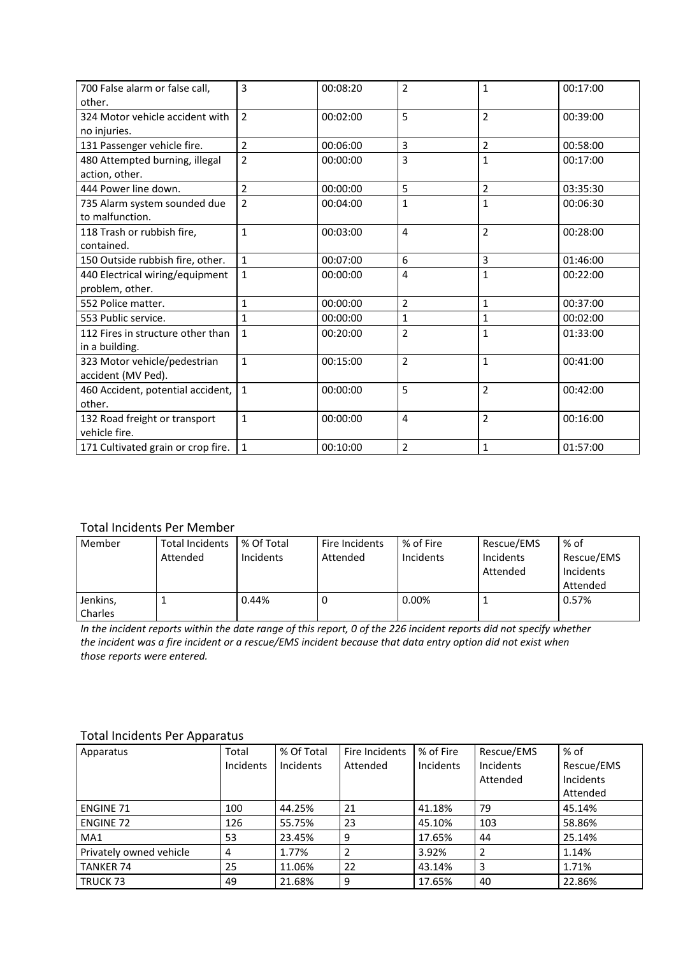| 700 False alarm or false call.     | 3              | 00:08:20 | $\overline{2}$          | $\mathbf{1}$   | 00:17:00 |
|------------------------------------|----------------|----------|-------------------------|----------------|----------|
| other.                             |                |          |                         |                |          |
| 324 Motor vehicle accident with    | $\overline{2}$ | 00:02:00 | 5                       | $\overline{2}$ | 00:39:00 |
| no injuries.                       |                |          |                         |                |          |
| 131 Passenger vehicle fire.        | $\overline{2}$ | 00:06:00 | 3                       | $\overline{2}$ | 00:58:00 |
| 480 Attempted burning, illegal     | $\overline{2}$ | 00:00:00 | 3                       | $\mathbf{1}$   | 00:17:00 |
| action, other.                     |                |          |                         |                |          |
| 444 Power line down.               | $\overline{2}$ | 00:00:00 | 5                       | $\overline{2}$ | 03:35:30 |
| 735 Alarm system sounded due       | $\overline{2}$ | 00:04:00 | $\mathbf{1}$            | $\mathbf{1}$   | 00:06:30 |
| to malfunction.                    |                |          |                         |                |          |
| 118 Trash or rubbish fire,         | $\mathbf{1}$   | 00:03:00 | $\overline{4}$          | $\overline{2}$ | 00:28:00 |
| contained.                         |                |          |                         |                |          |
| 150 Outside rubbish fire, other.   | $\mathbf{1}$   | 00:07:00 | 6                       | 3              | 01:46:00 |
| 440 Electrical wiring/equipment    | $\mathbf{1}$   | 00:00:00 | 4                       | $\mathbf{1}$   | 00:22:00 |
| problem, other.                    |                |          |                         |                |          |
| 552 Police matter.                 | $\mathbf{1}$   | 00:00:00 | $\overline{2}$          | $\mathbf{1}$   | 00:37:00 |
| 553 Public service.                | $\mathbf{1}$   | 00:00:00 | $\mathbf{1}$            | $\mathbf{1}$   | 00:02:00 |
| 112 Fires in structure other than  | $\mathbf{1}$   | 00:20:00 | $\overline{2}$          | $\mathbf{1}$   | 01:33:00 |
| in a building.                     |                |          |                         |                |          |
| 323 Motor vehicle/pedestrian       | $\mathbf{1}$   | 00:15:00 | $\overline{2}$          | $\mathbf{1}$   | 00:41:00 |
| accident (MV Ped).                 |                |          |                         |                |          |
| 460 Accident, potential accident,  | $\mathbf{1}$   | 00:00:00 | 5                       | $\overline{2}$ | 00:42:00 |
| other.                             |                |          |                         |                |          |
| 132 Road freight or transport      | $\mathbf{1}$   | 00:00:00 | $\overline{4}$          | $\overline{2}$ | 00:16:00 |
| vehicle fire.                      |                |          |                         |                |          |
| 171 Cultivated grain or crop fire. | $\mathbf{1}$   | 00:10:00 | $\overline{\mathbf{c}}$ | $\mathbf{1}$   | 01:57:00 |

## Total Incidents Per Member

| Member              | <b>Total Incidents</b><br>Attended | % Of Total<br><b>Incidents</b> | Fire Incidents<br>Attended | % of Fire<br>Incidents | Rescue/EMS<br>Incidents<br>Attended | % of<br>Rescue/EMS<br>Incidents<br>Attended |
|---------------------|------------------------------------|--------------------------------|----------------------------|------------------------|-------------------------------------|---------------------------------------------|
| Jenkins,<br>Charles |                                    | 0.44%                          |                            | 0.00%                  |                                     | 0.57%                                       |

In the incident reports within the date range of this report, 0 of the 226 incident reports did not specify whether the incident was a fire incident or a rescue/EMS incident because that data entry option did not exist when *those reports were entered.*

## Total Incidents Per Apparatus

| Apparatus               | Total     | % Of Total | Fire Incidents | % of Fire | Rescue/EMS     | % of       |
|-------------------------|-----------|------------|----------------|-----------|----------------|------------|
|                         | Incidents | Incidents  | Attended       | Incidents | Incidents      | Rescue/EMS |
|                         |           |            |                |           | Attended       | Incidents  |
|                         |           |            |                |           |                | Attended   |
| <b>ENGINE 71</b>        | 100       | 44.25%     | 21             | 41.18%    | 79             | 45.14%     |
| <b>ENGINE 72</b>        | 126       | 55.75%     | 23             | 45.10%    | 103            | 58.86%     |
| MA1                     | 53        | 23.45%     | q              | 17.65%    | 44             | 25.14%     |
| Privately owned vehicle | 4         | 1.77%      |                | 3.92%     | $\overline{2}$ | 1.14%      |
| <b>TANKER 74</b>        | 25        | 11.06%     | 22             | 43.14%    | 3              | 1.71%      |
| TRUCK 73                | 49        | 21.68%     | 9              | 17.65%    | 40             | 22.86%     |